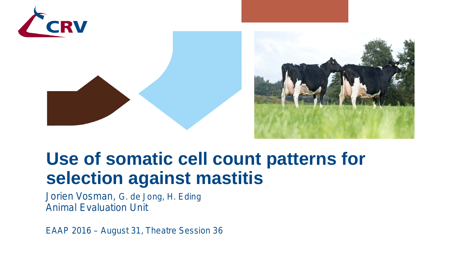

### **Use of somatic cell count patterns for selection against mastitis**

Jorien Vosman, G. de Jong, H. Eding Animal Evaluation Unit

*EAAP 2016 – August 31, Theatre Session 36*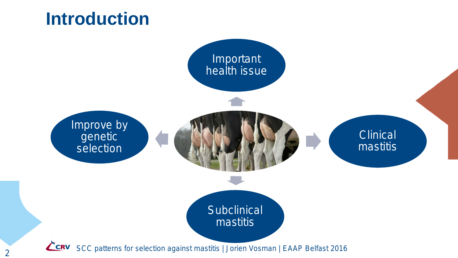### **Introduction**



2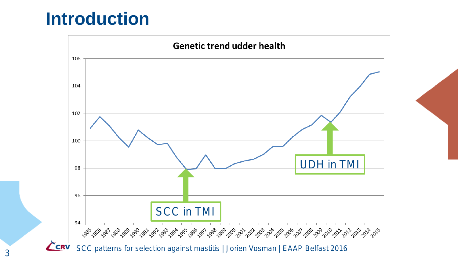#### **Introduction**

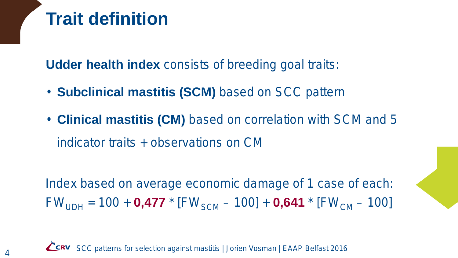## **Trait definition**

**Udder health index** consists of breeding goal traits:

- **Subclinical mastitis (SCM)** based on SCC pattern
- **Clinical mastitis (CM)** based on correlation with SCM and 5 indicator traits *+ observations on CM*

Index based on average economic damage of 1 case of each:  $FW_{UDH} = 100 + 0.477 * [FW_{SCM} - 100] + 0.641 * [FW_{CM} - 100]$ 

SCC patterns for selection against mastitis | Jorien Vosman | EAAP Belfast 2016**Z** CRV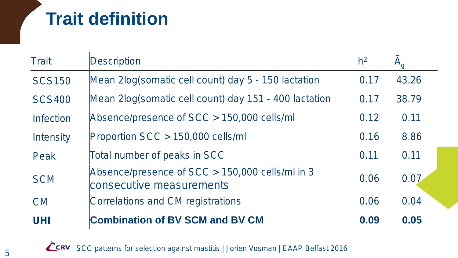# **Trait definition**

| <b>Trait</b>                   | <b>Description</b>                                                          | h <sup>2</sup> |       |
|--------------------------------|-----------------------------------------------------------------------------|----------------|-------|
| <b>SCS150</b>                  | Mean 2log(somatic cell count) day 5 - 150 lactation                         | 0.17           | 43.26 |
| <b>SCS400</b>                  | Mean 2log(somatic cell count) day 151 - 400 lactation                       | 0.17           | 38.79 |
| <i><u><b>Infection</b></u></i> | Absence/presence of SCC > 150,000 cells/ml                                  | 0.12           | 0.11  |
| <b>Intensity</b>               | Proportion SCC > 150,000 cells/ml                                           | 0.16           | 8.86  |
| Peak                           | Total number of peaks in SCC                                                | 0.11           | 0.11  |
| <b>SCM</b>                     | Absence/presence of SCC > 150,000 cells/ml in 3<br>consecutive measurements | 0.06           | 0.07  |
| <b>CM</b>                      | Correlations and CM registrations                                           | 0.06           | 0.04  |
| <b>UHI</b>                     | <b>Combination of BV SCM and BV CM</b>                                      | 0.09           | 0.05  |

**ERV** SCC patterns for selection against mastitis | Jorien Vosman | EAAP Belfast 2016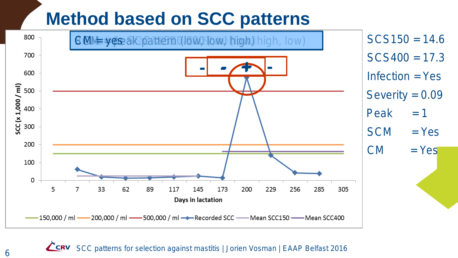### **Method based on SCC patterns**



**CRV** SCC patterns for selection against mastitis | Jorien Vosman | EAAP Belfast 2016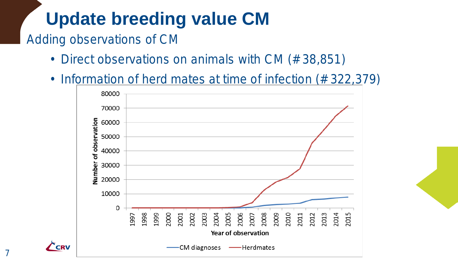# **Update breeding value CM**

#### Adding observations of CM

- Direct observations on animals with CM (#38,851)
- Information of herd mates at time of infection (# 322,379)

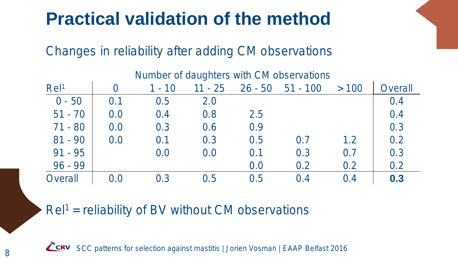## **Practical validation of the method**

#### Changes in reliability after adding CM observations

|                  |     |          |           |           | Number of daughters with CM observations |      |                |
|------------------|-----|----------|-----------|-----------|------------------------------------------|------|----------------|
| Rel <sup>1</sup> |     | $1 - 10$ | $11 - 25$ | $26 - 50$ | $51 - 100$                               | >100 | <b>Overall</b> |
| $0 - 50$         | 0.1 | 0.5      | 2.0       |           |                                          |      | 0.4            |
| $51 - 70$        | 0.0 | 0.4      | 0.8       | 2.5       |                                          |      | 0.4            |
| $71 - 80$        | 0.0 | 0.3      | 0.6       | 0.9       |                                          |      | 0.3            |
| $81 - 90$        | 0.0 | 0.1      | 0.3       | 0.5       | 0.7                                      | 1.2  | 0.2            |
| $91 - 95$        |     | 0.0      | 0.0       | 0.1       | 0.3                                      | 0.7  | 0.3            |
| $96 - 99$        |     |          |           | 0.0       | 0.2                                      | 0.2  | 0.2            |
| <b>Overall</b>   | 0.0 | 0.3      | 0.5       | 0.5       | 0.4                                      | 0.4  | 0.3            |

#### $Rel<sup>1</sup> = reliability of BV without CM observations$

8 **CERV** SCC patterns for selection against mastitis | Jorien Vosman | EAAP Belfast 2016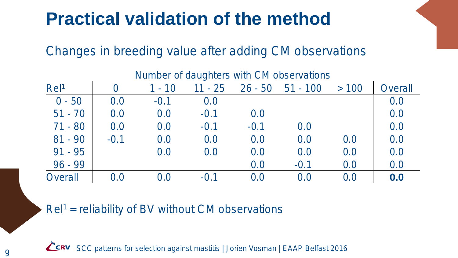## **Practical validation of the method**

#### Changes in breeding value after adding CM observations

|                  |         |          |           |           | Number of daughters with CM observations |      |                |
|------------------|---------|----------|-----------|-----------|------------------------------------------|------|----------------|
| Rel <sup>1</sup> | 0       | $1 - 10$ | $11 - 25$ | $26 - 50$ | $51 - 100$                               | >100 | <b>Overall</b> |
| $0 - 50$         | 0.0     | $-0.1$   | 0.0       |           |                                          |      | 0.0            |
| $51 - 70$        | 0.0     | 0.0      | $-0.1$    | 0.0       |                                          |      | 0.0            |
| $71 - 80$        | 0.0     | 0.0      | $-0.1$    | $-0.1$    | 0.0                                      |      | 0.0            |
| $81 - 90$        | $-0.1$  | 0.0      | 0.0       | 0.0       | 0.0                                      | 0.0  | 0.0            |
| $91 - 95$        |         | 0.0      | 0.0       | 0.0       | 0.0                                      | 0.0  | 0.0            |
| $96 - 99$        |         |          |           | 0.0       | $-0.1$                                   | 0.0  | 0.0            |
| Overall          | $0.0\,$ | 0.0      | $-0.1$    | 0.0       | 0.0                                      | 0.0  | 0.0            |

 $Rel<sup>1</sup> = reliability of BV without CM observations$ 



SCC patterns for selection against mastitis | Jorien Vosman | EAAP Belfast 2016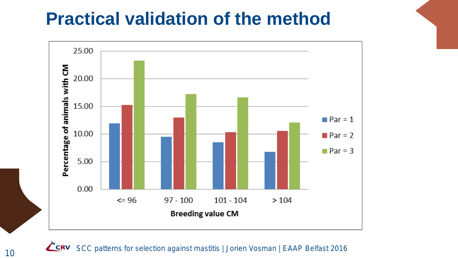### **Practical validation of the method**



SCC patterns for selection against mastitis | Jorien Vosman | EAAP Belfast 2016